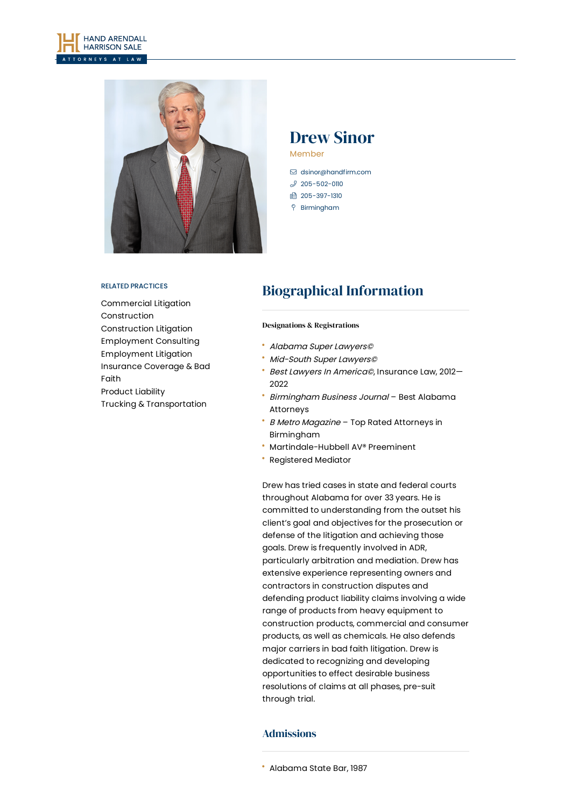



# Drew Sinor

Member

- [dsinor@handfirm.com](mailto:dsinor@handfirm.com)
- $$205 502 0110$
- 1 205-397-1310
- Birmingham

#### RELATED PRACTICES

[Commercial](https://www.handfirm.com/practices/litigation/commercial-litigation/) Litigation [Construction](https://www.handfirm.com/practices/industries/construction/) [Construction](https://www.handfirm.com/practices/litigation/construction-litigation/) Litigation [Employment](https://www.handfirm.com/practices/business-services/employment-consulting/) Consulting [Employment](https://www.handfirm.com/practices/litigation/employment-litigation/) Litigation [Insurance](https://www.handfirm.com/practices/litigation/insurance-coverage-bad-faith/) Coverage & Bad Faith [Product](https://www.handfirm.com/practices/litigation/product-liability/) Liability Trucking & [Transportation](https://www.handfirm.com/practices/industries/trucking-transportation/)

# Biographical Information

#### Designations & Registrations

- Alabama Super Lawyers©
- Mid-South Super Lawyers©
- Best Lawyers In America©, Insurance Law, 2012— 2022
- Birmingham Business Journal Best Alabama Attorneys
- **B Metro Magazine Top Rated Attorneys in** Birmingham
- Martindale-Hubbell AV® Preeminent
- Registered Mediator

Drew has tried cases in state and federal courts throughout Alabama for over 33 years. He is committed to understanding from the outset his client's goal and objectives for the prosecution or defense of the litigation and achieving those goals. Drew is frequently involved in ADR, particularly arbitration and mediation. Drew has extensive experience representing owners and contractors in construction disputes and defending product liability claims involving a wide range of products from heavy equipment to construction products, commercial and consumer products, as well as chemicals. He also defends major carriers in bad faith litigation. Drew is dedicated to recognizing and developing opportunities to effect desirable business resolutions of claims at all phases, pre-suit through trial.

#### Admissions

Alabama State Bar, 1987